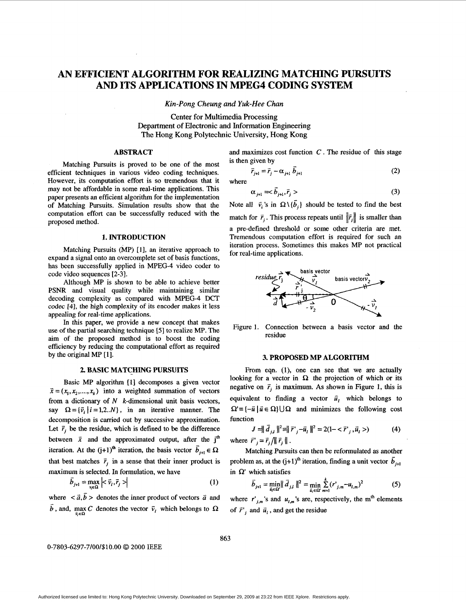# **AN EFFICIENT ALGORITHM FOR REALIZING MATCHING PURSUITS AND ITS APPLICATIONS IN MPEG4 CODING SYSTEM**

*Kin-Pong Cheung and Yuk-Hee Chan* 

Center for Multimedia Processing Department of Electronic and Information Engineering **The** Hong Kong Polytechnic University, Hong Kong

## **ABSTRACT**

Matching Pursuits is proved to be one of the most efficient techniques in various video coding techniques. However, its computation effort is so tremendous that it may not be affordable in some real-time applications. This paper presents an efficient algorithm for the implementation of Matching Pursuits. Simulation results show that the computation effort can be successfully reduced with the proposed method.

#### **1. INTRODUCTION**

Matching Pursuits (MP) **[l],** an iterative approach to expand a signal onto an overcomplete set of basis functions, has been successfully applied in MPEG-4 video coder to code video sequences **[2-31.** 

Although MP is shown to be able to achieve better PSNR and visual quality while maintaining similar decoding complexity as compared with MPEG-4 **DCT**  codec **[4],** the high complexity of its encoder makes it less appealing for real-time applications.

In this paper, we provide a new concept that makes use of the partial searching technique *[5]* to realize MP. The aim of the proposed method is to boost the coding efficiency by reducing the computational effort as required by the original MP **[l].** 

# **2. BASIC MATCHING PURSUITS**

Basic MP algorithm **[l]** decomposes a given vector  $\vec{x} = (x_1, x_2, \dots, x_k)$  into a weighted summation of vectors from a dictionary of *N* k-dimensional unit basis vectors, say  $\Omega = {\bar{v}_i | i = 1,2..N}$ , in an iterative manner. The decomposition is carried out by successive approximation. Let  $\vec{r}$ , be the residue, which is defined to be the difference between  $\vec{x}$  and the approximated output, after the  $j<sup>th</sup>$ iteration. At the  $(j+1)^{th}$  iteration, the basis vector  $\vec{b}_{j+1} \in \Omega$ that best matches  $\vec{r}_i$  in a sense that their inner product is maximum is selected. In formulation, we have

$$
\vec{b}_{j+1} = \max_{\mathbf{v}_i \in \Omega} \left| \langle \vec{v}_i, \vec{r}_j \rangle \right| \tag{1}
$$

where  $\langle \vec{a}, \vec{b} \rangle$  denotes the inner product of vectors  $\vec{a}$  and  $\overline{b}$ , and, max *C* denotes the vector  $\overline{v}_i$  which belongs to  $\Omega$ 

and maximizes cost function *C* . The residue of this stage is then given by

given by  
\n
$$
\vec{r}_{j+1} = \vec{r}_j - \alpha_{j+1} \vec{b}_{j+1}
$$
\n(2)

where

$$
\alpha_{j+1} = \bar{b}_{j+1}, \bar{r}_j > \tag{3}
$$

Note all  $\vec{v}_i$ 's in  $\Omega \setminus {\{\overline{b}_j\}}$  should be tested to find the best match for  $\vec{r}_i$ . This process repeats until  $\|\hat{r}_j\|$  is smaller than a pre-defined threshold or some other criteria are met. Tremendous computation effort is required for such an iteration process. Sometimes this makes MP not practical for real-time applications.



Figure 1. Connection between a basis vector and the residue

#### **3. PROPOSED MP ALGORITHM**

From eqn. **(l),** one can see that we are actually looking for a vector in  $\Omega$  the projection of which or its negative on  $\vec{r}_i$  is maximum. As shown in Figure 1, this is equivalent to finding a vector  $\vec{u}_i$  which belongs to  $\Omega = \{-\overline{u} \mid \overline{u} \in \Omega\} \cup \Omega$  and minimizes the following cost function

$$
J = ||\vec{d}_{j,l}||^2 = ||\vec{r}_{j} - \vec{u}_{l}||^2 = 2(1 - \langle \vec{r}^{\prime}_{j}, \vec{u}_{l} \rangle)
$$
(4)

where  $\vec{r}'_j = \vec{r}_j / || \vec{r}_j ||$ .

Matching Pursuits can then be reformulated as another problem as, at the  $(j+1)^{th}$  iteration, finding a unit vector  $\vec{b}_{j+1}$ in  $\Omega'$  which satisfies

which satisfies  
\n
$$
\vec{b}_{j+1} = \min_{\vec{u}_j \in \Omega'} \|\vec{d}_{j,l}\|^2 = \min_{\vec{u}_i \in \Omega'} \sum_{m=1}^k (r^*_{j,m} - u_{l,m})^2
$$
\n(5)

where  $r'_{j,m}$ 's and  $u_{j,m}$ 's are, respectively, the m<sup>th</sup> elements of  $\vec{r}_i$  and  $\vec{u}_i$ , and get the residue

**0-7803-6297-7/00/\$10.00** *0* **<sup>2000</sup>**IEEE

**863**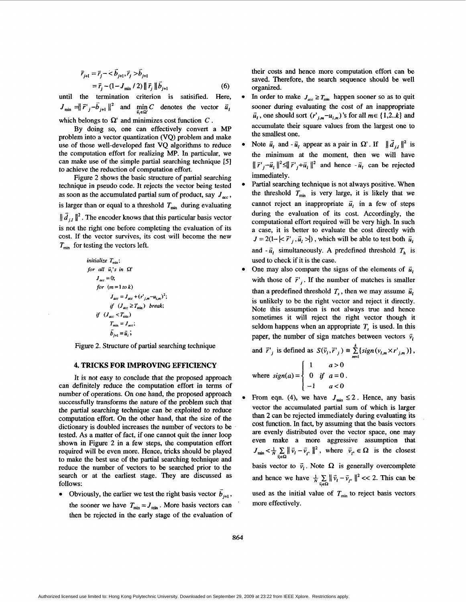$$
\vec{r}_{j+1} = \vec{r}_j - \langle \vec{b}_{j+1}, \vec{r}_j \rangle \vec{b}_{j+1} \n= \vec{r}_j - (1 - J_{\min} / 2) \| \vec{r}_j \| \vec{b}_{j+1}
$$
\n(6)

until the termination criterion is satisified. Here,  $J_{\min} = \left\| \vec{r} \right\|_j - b_{j+1} \left\|^2$  and  $\min_{\vec{u}_i \in \Omega'} C$  denotes the vector  $\vec{u}_i$ which belongs to  $\Omega'$  and minimizes cost function  $C$ .

By doing so, one can effectively convert a MP problem into a vector quantization *(VQ)* problem and make use of those well-developed fast VQ algorithms to reduce the computation effort for realizing MP. In particular, we can make use of the simple partial searching technique **[5]**  to achieve the reduction of computation effort.

Figure 2 shows the basic structure of partial searching technique in pseudo code. It rejects the vector being tested as soon as the accumulated partial sum of product, say  $J_{\text{acc}}$ , is larger than or equal to a threshold  $T_{\text{min}}$  during evaluating  $\|\overline{d}_{i,j}\|^2$ . The encoder knows that this particular basis vector is not the right one before completing the evaluation of its cost. If the vector survives, its cost will become the new  $T_{\min}$  for testing the vectors left.

$$
\begin{aligned}\n\text{initialize } T_{\text{min}}; \\
\text{for all } \bar{u}_i's \text{ in } \Omega' \\
J_{acc} &= 0; \\
\text{for } (m = 1 \text{ to } k) \\
J_{acc} &= J_{acc} + (r_{j,m} - u_{i,m})^2; \\
\text{if } (J_{acc} < T_{\text{min}}) \text{ break;} \\
\text{if } (J_{acc} < T_{\text{min}}) \\
T_{\text{min}} &= J_{acc}; \\
\bar{b}_{j+1} &= \bar{u}_i; \\
\end{aligned}
$$

Figure 2. Structure of partial searching technique

# **4. TRICKS FOR IMPROVING EFFICIENCY**

It is not easy to conclude that the proposed approach can definitely reduce the computation effort in terms of number of operations. On one hand, the proposed approach successfully transforms the nature of the problem such that the partial searching technique can be exploited to reduce computation effort. On the other hand, that the size *of* the dictionary is doubled increases the number of vectors to be tested. As a matter of fact, if one cannot quit the inner loop shown in Figure 2 in a few steps, the computation effort required will be even more. Hence, tricks should be played to make the best use of the partial searching technique and reduce the number of vectors to be searched prior to the search or at the earliest stage. They are discussed **as**  follows:

• Obviously, the earlier we test the right basis vector  $\overline{b}_{i+1}$ , the sooner we have  $T_{\text{min}} = J_{\text{min}}$ . More basis vectors can then be rejected in the early stage of the evaluation of their costs and hence more computation effort can be saved. Therefore, the search sequence should be well organized.

- In order to make  $J_{acc} \geq T_{min}$  happen sooner so as to quit sooner during evaluating the cost *of* an inappropriate  $\bar{u}_i$ , one should sort  $(r'_{i,m}-u_{i,m})$ 's for all  $m \in \{1,2..k\}$  and accumulate their square values from the largest one to the smallest one.
- Note  $\vec{u}_i$  and  $-\vec{u}_i$  appear as a pair in  $\Omega'$ . If  $\|\vec{d}_{i,l}\|^2$  is the minimum at the moment, then we will have  $\|\vec{r}'_{i}-\vec{u}_{i}\|^{2} \leq \|\vec{r}'_{i}+\vec{u}_{i}\|^{2}$  and hence  $-\vec{u}_{i}$  can be rejected immediately.
- Partial searching technique is not always positive. When the threshold  $T_{\min}$  is very large, it is likely that we cannot reject an inappropriate  $\vec{u}_i$  in a few of steps during the evaluation of its cost. Accordingly, the computational effort required will be very high. In such a case, it is better to evaluate the cost directly with  $J = 2(1 - |\langle \vec{r}^1_i, \vec{u}_i \rangle|)$ , which will be able to test both  $\vec{u}_i$ and  $-\vec{u}_l$  simultaneously. A predefined threshold  $T_h$  is used to check if it is the case.
- One may also compare the signs of the elements of  $\vec{u}_i$ with those of  $\vec{r}'$ . If the number of matches is smaller than a predefined threshold  $T<sub>s</sub>$ , then we may assume  $\vec{u}<sub>t</sub>$ is unlikely to be the right vector and reject it directly. Note this assumption is not always true and hence sometimes it will reject the right vector though it seldom happens when an appropriate *T,* is used. In this paper, the number of sign matches between vectors  $\vec{v}_t$

and 
$$
\vec{r'}_j
$$
 is defined as  $S(\vec{v}_i, \vec{r'}_j) \equiv \sum_{m=1}^k \{sign(v_{i,m} \times r'_{j,m})\},$   
\n $\begin{cases}\n1 & a > 0\n\end{cases}$ 

where  $sign(a) = \begin{cases} 0 & \text{if } a = 0. \end{cases}$  $\begin{vmatrix} -1 & a < 0 \end{vmatrix}$ 

From eqn. (4), we have  $J_{\text{min}} \leq 2$ . Hence, any basis vector the accumulated partial sum of which is larger than **2** can be rejected immediately during evaluating its cost function. In fact, by assuming that the basis vectors are evenly distributed over the vector space, one may even make a more aggressive assumption that  $J_{\min} < \frac{1}{N} \sum_{\bar{v}_i \in \Omega} ||\bar{v}_i - \bar{v}_i||^2$ , where  $\bar{v}_i \in \Omega$  is the closest basis vector to  $\vec{v}_i$ . Note  $\Omega$  is generally overcomplete basis vector to  $v_i$ . Note sz is generally overcomplete<br>and hence we have  $\frac{1}{N} \sum_{\bar{v}_i \in \Omega} ||\vec{v}_i - \vec{v}_{i+}||^2 << 2$ . This can be used as the initial value of  $T_{\text{min}}$  to reject basis vectors more effectively.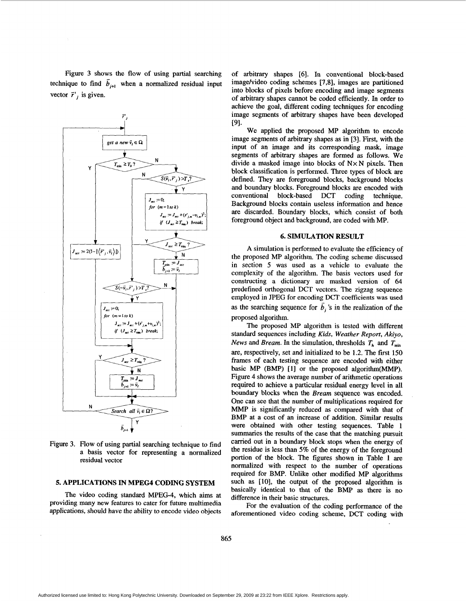Figure *3* shows the flow of using partial searching technique to find  $b_{j+1}$  when a normalized residual input vector  $\vec{r}$ , is given.



Figure 3. Flow of using partial searching technique to find a basis vector for representing a normalized residual vector

# **5. APPLICATIONS IN MPEG4 CODING SYSTEM**

The video coding standard MPEG-4, which aims at providing many new features to cater for future multimedia applications, should have the ability to encode video objects

of arbitrary shapes **[6].** In conventional block-based image/video coding schemes [7,8], images are partitioned into blocks of pixels before encoding and image segments of arbitrary shapes cannot be coded efficiently. In order to achieve the goal, different coding techniques for encoding image segments of arbitrary shapes have been developed 191.

We applied the proposed MP algorithm to encode image segments of arbitrary shapes as in **[3].** First, with the input of an image and its corresponding mask, image segments of arbitrary shapes are formed as follows. We divide a masked image into blocks of **NxN** pixels. Then block classification is performed. Three types of block are defined. They are foreground blocks, background blocks and boundary blocks. Foreground blocks are encoded with conventional block-based DCT coding technique. Background blocks contain useless information and hence are discarded. Boundary blocks, which consist of both foreground object and background, are coded with MP.

### **6. SIMULATION RESULT**

A simulation is performed to evaluate the efficiency of the proposed MP algorithm. The coding scheme discussed in section *5* was used as a vehicle to evaluate the complexity of the algorithm. The basis vectors used for constructing a dictionary are masked version of *64*  predefined orthogonal DCT vectors. The zigzag sequence employed in JPEG for encoding DCT coefficients was used as the searching sequence for  $b_j$  's in the realization of the proposed algorithm.

The proposed MP algorithm is tested with different standard sequences including Kids, Weather Report, *Akiyo, News* and *Bream*. In the simulation, thresholds  $T_h$  and  $T_{min}$ are, respectively, set and initialized to be 1.2. The **ftrst** 150 frames of each testing sequence are encoded with either basic MP (BMP) **[l]** or the proposed algorithm(MMP). Figure 4 shows the average number of arithmetic operations required to achieve a particular residual energy level in all boundary blocks when the Bream sequence was encoded. One can see that the number of multiplications required for MMP is significantly reduced **as** compared with that of BMP at a cost of an increase of addition. Similar results were obtained with other testing sequences. Table 1 summaries the results of the case that the matching pursuit carried out in a boundary block stops when the energy of the residue is less than 5% of the energy of the foreground portion of the block. The figures shown in Table 1 are normalized with respect to the number of operations required for BMP. Unlike other modified MP algorithms such **as** [lo], the output of the proposed algorithm is basically identical to that of the BMP **as** there is no difference in their basic structures.

For the evaluation of the coding performance of the aforementioned video coding scheme, DCT coding with